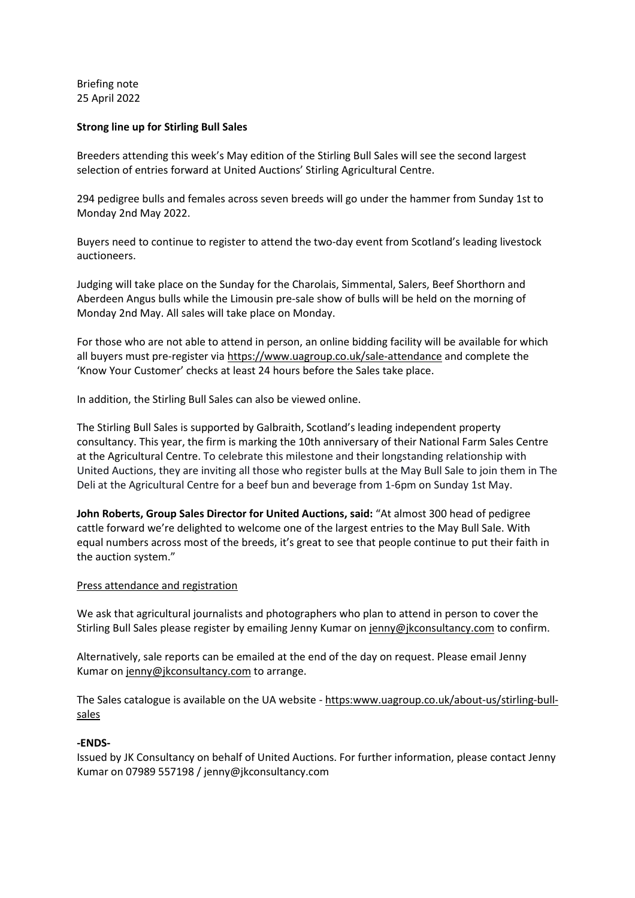Briefing note 25 April 2022

## **Strong line up for Stirling Bull Sales**

Breeders attending this week's May edition of the Stirling Bull Sales will see the second largest selection of entries forward at United Auctions' Stirling Agricultural Centre.

294 pedigree bulls and females across seven breeds will go under the hammer from Sunday 1st to Monday 2nd May 2022.

Buyers need to continue to register to attend the two-day event from Scotland's leading livestock auctioneers.

Judging will take place on the Sunday for the Charolais, Simmental, Salers, Beef Shorthorn and Aberdeen Angus bulls while the Limousin pre-sale show of bulls will be held on the morning of Monday 2nd May. All sales will take place on Monday.

For those who are not able to attend in person, an online bidding facility will be available for which all buyers must pre-register via https://www.uagroup.co.uk/sale-attendance and complete the 'Know Your Customer' checks at least 24 hours before the Sales take place.

In addition, the Stirling Bull Sales can also be viewed online.

The Stirling Bull Sales is supported by Galbraith, Scotland's leading independent property consultancy. This year, the firm is marking the 10th anniversary of their National Farm Sales Centre at the Agricultural Centre. To celebrate this milestone and their longstanding relationship with United Auctions, they are inviting all those who register bulls at the May Bull Sale to join them in The Deli at the Agricultural Centre for a beef bun and beverage from 1-6pm on Sunday 1st May.

**John Roberts, Group Sales Director for United Auctions, said:** "At almost 300 head of pedigree cattle forward we're delighted to welcome one of the largest entries to the May Bull Sale. With equal numbers across most of the breeds, it's great to see that people continue to put their faith in the auction system."

#### Press attendance and registration

We ask that agricultural journalists and photographers who plan to attend in person to cover the Stirling Bull Sales please register by emailing Jenny Kumar on jenny@jkconsultancy.com to confirm.

Alternatively, sale reports can be emailed at the end of the day on request. Please email Jenny Kumar on jenny@jkconsultancy.com to arrange.

The Sales catalogue is available on the UA website - https:www.uagroup.co.uk/about-us/stirling-bullsales

#### **-ENDS-**

Issued by JK Consultancy on behalf of United Auctions. For further information, please contact Jenny Kumar on 07989 557198 / jenny@jkconsultancy.com